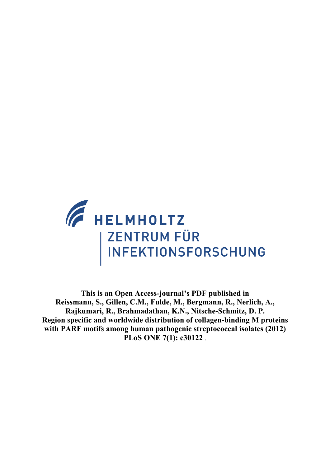

**This is an Open Access-journal's PDF published in Reissmann, S., Gillen, C.M., Fulde, M., Bergmann, R., Nerlich, A., Rajkumari, R., Brahmadathan, K.N., Nitsche-Schmitz, D. P. Region specific and worldwide distribution of collagen-binding M proteins with PARF motifs among human pathogenic streptococcal isolates (2012) PLoS ONE 7(1): e30122** .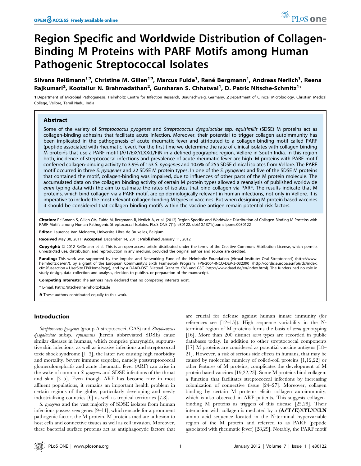# Region Specific and Worldwide Distribution of Collagen-Binding M Proteins with PARF Motifs among Human Pathogenic Streptococcal Isolates

Silvana Reißmann<sup>19</sup>, Christine M. Gillen<sup>19</sup>, Marcus Fulde<sup>1</sup>, René Bergmann<sup>1</sup>, Andreas Nerlich<sup>1</sup>, Reena Rajkumari<sup>2</sup>, Kootallur N. Brahmadathan<sup>2</sup>, Gursharan S. Chhatwal<sup>1</sup>, D. Patric Nitsche-Schmitz<sup>1</sup>\*

1 Department of Microbial Pathogenesis, Helmholtz Centre for Infection Research, Braunschweig, Germany, 2 Department of Clinical Microbiology, Christian Medical College, Vellore, Tamil Nadu, India

## Abstract

Some of the variety of Streptococcus pyogenes and Streptococcus dysgalactiae ssp. equisimilis (SDSE) M proteins act as collagen-binding adhesins that facilitate acute infection. Moreover, their potential to trigger collagen autoimmunity has been implicated in the pathogenesis of acute rheumatic fever and attributed to a collagen-binding motif called PARF (peptide associated with rheumatic fever). For the first time we determine the rate of clinical isolates with collagen-binding M proteins that use a PARF motif (A/T/E)XYLXX(L/F)N in a defined geographic region, Vellore in South India. In this region both, incidence of streptococcal infections and prevalence of acute rheumatic fever are high. M proteins with PARF motif conferred collagen-binding activity to 3.9% of 153 S. pyogenes and 10.6% of 255 SDSE clinical isolates from Vellore. The PARF motif occurred in three S. pyogenes and 22 SDSE M protein types. In one of the S. pyogenes and five of the SDSE M proteins that contained the motif, collagen-binding was impaired, due to influences of other parts of the M protein molecule. The accumulated data on the collagen binding activity of certain M protein types allowed a reanalysis of published worldwide emm-typing data with the aim to estimate the rates of isolates that bind collagen via PARF. The results indicate that M proteins, which bind collagen via a PARF motif, are epidemiologically relevant in human infections, not only in Vellore. It is imperative to include the most relevant collagen-binding M types in vaccines. But when designing M protein based vaccines it should be considered that collagen binding motifs within the vaccine antigen remain potential risk factors.

Citation: Reißmann S, Gillen CM, Fulde M, Bergmann R, Nerlich A, et al. (2012) Region Specific and Worldwide Distribution of Collagen-Binding M Proteins with PARF Motifs among Human Pathogenic Streptococcal Isolates. PLoS ONE 7(1): e30122. doi:10.1371/journal.pone.0030122

Editor: Laurence Van Melderen, Universite Libre de Bruxelles, Belgium

Received May 30, 2011; Accepted December 14, 2011; Published January 11, 2012

Copyright: © 2012 Reißmann et al. This is an open-access article distributed under the terms of the Creative Commons Attribution License, which permits unrestricted use, distribution, and reproduction in any medium, provided the original author and source are credited.

Funding: This work was supported by the Impulse and Networking Fund of the Helmholtz Foundation (Virtual Institute: Oral Streptococci) (http://www. helmholtz.de/en/), by a grant of the European Community's Sixth Framework Program [FP6-2004-INCO-DEV-3-032390] (http://cordis.europa.eu/fp6/dc/index. cfm?fuseaction = UserSite.FP6HomePage), and by a DAAD-DST Bilateral Grant to KNB and GSC (http://www.daad.de/en/index.html). The funders had no role in study design, data collection and analysis, decision to publish, or preparation of the manuscript.

Competing Interests: The authors have declared that no competing interests exist.

\* E-mail: Patric.Nitsche@helmholtz-hzi.de

**.** These authors contributed equally to this work.

## Introduction

Streptococcus pyogenes (group A streptococci, GAS) and Streptococcus dysgalactiae subsp. equisimilis (herein abbreviated SDSE) cause similar diseases in humans, which comprise pharyngitis, suppurative skin infections, as well as invasive infections and streptococcal toxic shock syndrome [1–3], the latter two causing high morbidity and mortality. Severe immune sequelae, namely poststreptococcal glomerulonephritis and acute rheumatic fever (ARF) can arise in the wake of common S. pyogenes and SDSE infections of the throat and skin [3–5]. Even though ARF has become rare in most affluent populations, it remains an important health problem in certain regions of the globe, particularly developing and newly industrializing countries [6] as well as tropical territories [7,8].

S. pyogenes and the vast majority of SDSE isolates from human infections possess emm genes [9–11], which encode for a prominent pathogenic factor, the M protein. M proteins mediate adhesion to host cells and connective tissues as well as cell invasion. Moreover, these bacterial surface proteins act as antiphagocytic factors that are crucial for defense against human innate immunity (for references see [12–15]). High sequence variability in the Nterminal region of M proteins forms the basis of emm genotyping [16]. More than 200 distinct *emm* types are recorded in public databases today. In addition to other streptococcal components [17] M proteins are considered as potential vaccine antigens [18– 21]. However, a risk of serious side effects in humans, that may be caused by molecular mimicry of coiled-coil proteins [1,12,22] or other features of M proteins, complicates the development of M protein based vaccines [19,22,23]. Some M proteins bind collagen; a function that facilitates streptococcal infections by increasing colonization of connective tissue [24–27]. Moreover, collagen binding by certain M proteins elicits collagen autoimmunity, which is also observed in ARF patients. This suggests collagenbinding M proteins as triggers of this disease [25,28]. Their interaction with collagen is mediated by a (A/T/E)XYLXXLN amino acid sequence located in the N-terminal hypervariable region of the M protein and referred to as PARF (peptide associated with rheumatic fever) [28,29]. Notably, the PARF motif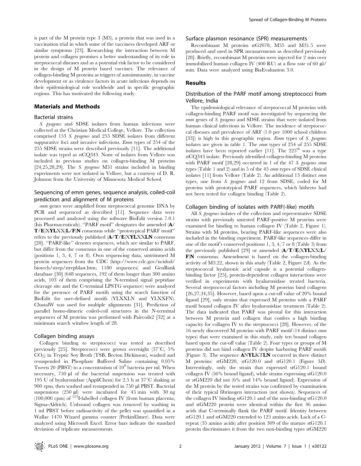is part of the M protein type 3 (M3), a protein that was used in a vaccination trial in which some of the vaccinees developed ARF or similar symptoms [23]. Researching the interaction between M protein and collagen promises a better understanding of its role in streptococcal diseases and as a potential risk factor to be considered in the design of M protein based vaccines. The relevance of collagen-binding M proteins as triggers of autoimmunity, in vaccine development or as virulence factors in acute infections depends on their epidemiological role worldwide and in specific geographic regions. This has motivated the following study.

#### Materials and Methods

#### Bacterial strains

S. pyogenes and SDSE isolates from human infections were collected at the Christian Medical College, Vellore. The collection comprised 153 S. pyogenes and 255 SDSE isolates from different suppurative foci and invasive infections. Emm types of 254 of the 255 SDSE strains were described previously [11]. The additional isolate was typed as stCQ343. None of isolates from Vellore was included in previous studies on collagen-binding M proteins [24,25,28,29]. The S. pyogenes M31 strains included in binding experiments were not isolated in Vellore, but a courtesy of D. R. Johnson from the University of Minnesota Medical School.

## Sequencing of emm genes, sequence analysis, coiled-coil prediction and alignment of M proteins

emm genes were amplified from streptococcal genomic DNA by PCR and sequenced as described [11]. Sequence data were processed and analyzed using the software BioEdit version 7.0.1 (Isis Pharmaceuticals). ''PARF motif'' designates the amended (A/ T/E)XYLXX(L/F)N consensus while ''prototypical PARF motif'' refers to the previously published (A/T/E)XYLXXLN consensus [28]. ''PARF-like'' denotes sequences, which are similar to PARF, but differ from the consensus in one of the conserved amino acids (positions 1, 3, 4, 7 or 8). Own sequencing data, untrimmed M protein sequences from the CDC (http://www.cdc.gov/ncidod/ biotech/strep/strepblast.htm; 1180 sequences) and GenBank database [30] (648 sequences, 192 of them longer than 300 amino acids, 103 of them comprising the N-terminal signal peptidase cleavage site and the C-terminal LPSTG sequence) were analysed for the presence of PARF motifs using the search function of BioEdit for user-defined motifs (YLXXLN and YLXXFN). ClustalW was used for multiple alignments [31]. Prediction of parallel homo-dimeric coiled-coil structures in the N-terminal sequences of M proteins was performed with Paircoils2 [32] at a minimum search window length of 28.

#### Collagen binding assays

Collagen binding to streptococci was tested as described previously [25]. Streptococci were grown overnight  $(37^{\circ}C, 5\%$ CO2) in Tryptic Soy Broth (TSB, Becton Dickinson), washed and resuspended in Phosphate Buffered Saline containing 0.05% Tween 20 (PBST) to a concentration of  $10^8$  bacteria per ml. When necessary, 750 µl of the bacterial suspension was treated with 195 U of hyaluronidase (AppliChem) for 2.5 h at  $37^{\circ}$ C shaking at 900 rpm, then washed and resuspended in 750 µl PBST. Bacterial suspensions  $(250 \text{ µ})$  were incubated for 45 min with 30 ng  $(100,000 \text{ cpm})$  of  $^{125}$ I-labelled collagen IV (from human placenta, Sigma-Aldrich). Unbound collagen was removed by washing in 1 ml PBST before radioactivity of the pellet was quantified in a Wallac 1470 Wizard gamma counter (PerkinElmer). Data were analyzed using Microsoft Excel. Error bars indicate the standard deviation of triplicate measurements.

## Surface plasmon resonance (SPR) measurements

Recombinant M proteins stG2078, M55 and M31.5 were produced and used in SPR measurements as described previously [28]. Briefly, recombinant M proteins were injected for 2 min over immobilized human collagen IV (400 RU) at a flow rate of 60  $\mu$ l/ min. Data were analyzed using BiaEvaluation 3.0.

## Results

## Distribution of the PARF motif among streptococci from Vellore, India

The epidemiological relevance of streptococcal M proteins with collagen-binding PARF motif was investigated by sequencing the emm genes of S. pyogenes and SDSE strains that were isolated from human clinical infections in Vellore. The incidence of streptococcal diseases and prevalence of ARF (1.0 per 1000 school children [33]) is high in this geographic region. Emm types of S. pyogenes isolates are given in table 1. The emm types of 254 of 255 SDSE isolates have been reported earlier [11]. The  $225<sup>th</sup>$  was a type stCQ343 isolate. Previously identified collagen-binding M proteins with PARF motif [28,29] occurred in 1 of the 47 S. pyogenes emm types (Table 1 and 2) and in 5 of the 45 emm types of SDSE clinical isolates [11] from Vellore (Table 2). An additional 13 distinct emm types, one from S. pyogenes and 12 from SDSE, coded for M proteins with prototypical PARF sequences, which hitherto had not been tested for collagen binding (Table 2).

#### Collagen binding of isolates with PARF(-like) motifs

All *S. pyogenes* isolates of the collection and representative SDSE strains with previously untested PARF-positive M proteins were examined for binding to human collagen IV (Table 2, Figure 1). Strains with M proteins, bearing PARF-like sequences were also included in the binding experiment. PARF-like sequences differ in one of the motif's conserved positions 1, 3, 4, 7 or 8 (Table 3) from the previously published [29] or amended (A/T/E)XYLXX(L/ F)N consensus. Amendment is based on the collagen-binding activity of M3.22, shown in this study (Table 2, Figure 2A). As the streptococcal hyaluronic acid capsule is a potential collagenbinding factor [25], protein-dependent collagen interactions were verified in experiments with hyaluronidase treated bacteria. Several streptococcal factors including M proteins bind collagens [26,27,34,35]. However, based upon a cut-off value of 20% bound ligand [29], only strains that expressed M proteins with a PARF motif bound collagen IV after hyaluronidase treatment (Table 2). The data indicated that PARF was pivotal for this interaction between M protein and collagen that confers a high binding capacity for collagen IV to the streptococci [28]. However, of the 16 newly discovered M proteins with PARF motif (14 distinct emm types) that were examined in this study, only ten bound collagen based upon the cut-off value (Table 2). Four types or groups of M proteins did not bind collagen IV despite harboring PARF motifs (Figure 3). The sequence ANYLKTLN occurred in three distinct M proteins: stGM220, stG120.0 and stG120.1 (Figure 3D). Interestingly, only the strain that expressed stG120.1 bound collagen IV (56% bound ligand), while strains expressing stG120.0 or stGM220 did not (6% and 14% bound ligand). Expression of the M protein by the tested strains was confirmed by examination of their typical fibrinogen interaction (not shown). Sequences of the collagen IV binding stG120.1 and of the non-binding stG120.0 and stGM220 protein were identical within the first 36 amino acids that C-terminally flank the PARF motif. Identity between stG120.1 and stGM220 extended to 125 amino acids. Lack of a Crepeat (35 amino acids) after position 309 of the mature stG120.1 protein discriminates it from the two non-binding types stGM220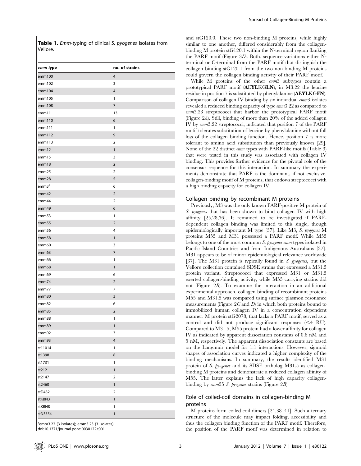Table 1. Emm-typing of clinical S. pyogenes isolates from Vellore.

| emm type          | no. of strains          |
|-------------------|-------------------------|
| emm100            | 4                       |
| emm102            | 3                       |
| emm104            | $\overline{4}$          |
| emm105            | 1                       |
| emm108            | $\overline{7}$          |
| emm11             | 13                      |
| emm110            | 6                       |
| emm111            | 1                       |
| emm112            | 9                       |
| emm113            | $\overline{2}$          |
| emm12             | 1                       |
| emm15             | 3                       |
| emm18             | $\overline{2}$          |
| emm25             | $\overline{2}$          |
| emm28             | 5                       |
| emm3 <sup>a</sup> | 6                       |
| emm42             | $\overline{2}$          |
| emm44             | $\overline{2}$          |
| emm49             | 6                       |
| emm53             | 1                       |
| emm55             | $\overline{2}$          |
| emm56             | 4                       |
| emm58             | 1                       |
| emm60             | 3                       |
| emm63             | $\overline{7}$          |
| emm66             | 1                       |
| emm68             | 1                       |
| emm69             | 6                       |
| emm74             | $\overline{2}$          |
| emm77             | 7                       |
| emm80             | 3                       |
| emm82             | 6                       |
| emm85             | $\overline{2}$          |
| emm88             | 1                       |
| emm89             | $\mathbf{1}$            |
| emm92             | 3                       |
| emm93             | 4                       |
| st11014           | 1                       |
| st1398            | 8                       |
| st1731            | 1                       |
| st212             | $\mathbf{1}$            |
| st2147            | $\overline{2}$          |
| st2460            | 1                       |
| stD432            | $\overline{\mathbf{c}}$ |
| stKBN3            | $\mathbf{1}$            |
| stKBN8            | $\mathbf{1}$            |
| stNS554           | $\mathbf{1}$            |

<sup>a</sup>emm3.22 (3 isolates); emm3.23 (3 isolates). doi:10.1371/journal.pone.0030122.t001

and stG120.0. These two non-binding M proteins, while highly similar to one another, differed considerably from the collagenbinding M protein stG120.1 within the N-terminal region flanking the PARF motif (Figure 3D). Both, sequence variations either Nterminal or C-terminal from the PARF motif that distinguish the collagen binding stG120.1 from the two non-binding M proteins could govern the collagen binding activity of their PARF motif.

While M proteins of the other emm3 subtypes contain a prototypical PARF motif (AEYLKGLN), in M3.22 the leucine residue in position 7 is substituted by phenylalanine (AEYLKGFN). Comparison of collagen IV binding by six individual emm3 isolates revealed a reduced binding capacity of type emm3.22 as compared to emm3.23 streptococci that harbor the prototypical PARF motif (Figure 2A). Still, binding of more than 20% of the added collagen IV by emm3.22 streptococci, indicated that position 7 of the PARF motif tolerates substitution of leucine by phenylalanine without full loss of the collagen binding function. Hence, position 7 is more tolerant to amino acid substitution than previously known [29]. None of the 22 distinct emm types with PARF-like motifs (Table 3) that were tested in this study was associated with collagen IV binding. This provides further evidence for the pivotal role of the consensus sequence for this interaction. In summary the experiments demonstrate that PARF is the dominant, if not exclusive, collagen-binding motif of M proteins, that endows streptococci with a high binding capacity for collagen IV.

## Collagen binding by recombinant M proteins

Previously, M3 was the only known PARF-positive M protein of S. pyogenes that has been shown to bind collagen IV with high affinity [25,28,36]. It remained to be investigated if PARFdependent collagen binding was limited to this single, though epidemiologically important M type [37]. Like M3, S. pyogenes M proteins M55 and M31 possessed a PARF motif. While M55 belongs to one of the most common S. pyogenes emm types isolated in Pacific Island Countries and from Indigenous Australians [37], M31 appears to be of minor epidemiological relevance worldwide [37]. The M31 protein is typically found in S. pyogenes, but the Vellore collection contained SDSE strains that expressed a M31.5 protein variant. Streptococci that expressed M31 or M31.5 exerted collagen-binding activity, while M55 carrying strains did not (Figure 2B). To examine the interaction in an additional experimental approach, collagen binding of recombinant proteins M55 and M31.5 was compared using surface plasmon resonance measurements (Figure  $2C$  and  $D$ ) in which both proteins bound to immobilized human collagen IV in a concentration dependent manner. M protein stG2078, that lacks a PARF motif, served as a control and did not produce significant responses  $(\leq 4$  RU). Compared to M31.5, M55 protein had a lower affinity for collagen IV as indicated by apparent dissociation constants of 0.6 nM and 5 nM, respectively. The apparent dissociation constants are based on the Langmuir model for 1:1 interactions. However, sigmoid shapes of association curves indicated a higher complexity of the binding mechanisms. In summary, the results identified M31 protein of S. pyogenes and its SDSE ortholog M31.5 as collagenbinding M proteins and demonstrate a reduced collagen affinity of M55. The latter explains the lack of high capacity collagenbinding by emm55 S. pyogenes strains (Figure 2B).

## Role of coiled-coil domains in collagen-binding M proteins

M proteins form coiled-coil dimers [24,38–41]. Such a ternary structure of the molecule may impact folding, accessibility and thus the collagen binding function of the PARF motif. Therefore, the position of the PARF motif was determined in relation to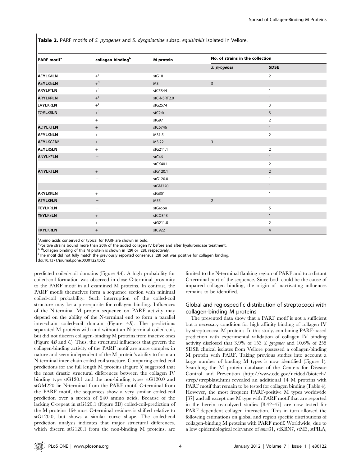**Table 2.** PARF motifs of S. pyogenes and S. dysgalactiae subsp. equisimilis isolated in Vellore.

| <b>PARF</b> motif <sup>ª</sup> | collagen binding <sup>b</sup> | M protein      | No. of strains in the collection |                |  |
|--------------------------------|-------------------------------|----------------|----------------------------------|----------------|--|
|                                |                               |                | S. pyogenes                      | <b>SDSE</b>    |  |
| <b>AEYLKALN</b>                | $+$ <sup>c</sup>              | stG10          |                                  | $\overline{2}$ |  |
| <b>AEYLKGLN</b>                | $+$ <sup>d</sup>              | M <sub>3</sub> | $\overline{3}$                   |                |  |
| <b>ARYLETLN</b>                | $+$ <sup>c</sup>              | stC5344        |                                  | $\mathbf{1}$   |  |
| <b>ARYLKRLN</b>                | $+$ <sup>c</sup>              | stC-NSRT2.0    |                                  | $\mathbf{1}$   |  |
| <b>EAYLKRLN</b>                | $+$ <sup>c</sup>              | stG2574        |                                  | 3              |  |
| <b>TQYLKRLN</b>                | $+$ <sup>c</sup>              | stC2sk         |                                  | $\overline{3}$ |  |
|                                | $+$                           | stG97          |                                  | $\overline{2}$ |  |
| <b>ADYLKTLN</b>                | $+$                           | stC6746        |                                  | $\mathbf{1}$   |  |
| <b>AEYLKNLN</b>                | $+$                           | M31.5          |                                  | $\overline{2}$ |  |
| <b>AEYLKGFN<sup>e</sup></b>    | $+$                           | M3.22          | $\overline{3}$                   |                |  |
| <b>AEYLRSLN</b>                | $+$                           | stG211.1       |                                  | $\overline{2}$ |  |
| <b>ANYLKELN</b>                |                               | stC46          |                                  | $\mathbf{1}$   |  |
|                                |                               | stCK401        |                                  | $\overline{2}$ |  |
| <b>ANYLKTLN</b>                | $^{+}$                        | stG120.1       |                                  | $\overline{2}$ |  |
|                                | $\overline{\phantom{a}}$      | stG120.0       |                                  | 1              |  |
|                                |                               | stGM220        |                                  | $\mathbf{1}$   |  |
| <b>ARYLKKLN</b>                | $+$                           | stG351         |                                  | $\mathbf{1}$   |  |
| <b>ATYLKELN</b>                |                               | M55            | $\overline{2}$                   |                |  |
| <b>TEYLKRLN</b>                | $\overline{\phantom{0}}$      | stGrobn        |                                  | 5              |  |
| <b>TEYLKSLN</b>                | $^{+}$                        | stCQ343        |                                  | $\mathbf{1}$   |  |
|                                | $+$                           | stG211.0       |                                  | $\overline{2}$ |  |
| <b>TKYLKRLN</b>                | $^{+}$                        | stC922         |                                  | 4              |  |

<sup>a</sup> Amino acids conserved or typical for PARF are shown in bold.

<sup>b</sup>Positive strains bound more than 20% of the added collagen IV before and after hyaluronidase treatment.

 $\epsilon$ , <sup>d</sup>Collagen binding of this M protein is shown in [29] or [28], respectively.

The motif did not fully match the previously reported consensus [28] but was positive for collagen binding.

doi:10.1371/journal.pone.0030122.t002

predicted coiled-coil domains (Figure 4A). A high probability for coiled-coil formation was observed in close C-terminal proximity to the PARF motif in all examined M proteins. In contrast, the PARF motifs themselves form a sequence section with minimal coiled-coil probability. Such interruption of the coiled-coil structure may be a prerequisite for collagen binding. Influences of the N-terminal M protein sequence on PARF activity may depend on the ability of the N-terminal end to form a parallel inter-chain coiled-coil domain (Figure 4B). The predictions separated M proteins with and without an N-terminal coiled-coil, but did not discern collagen-binding M proteins from inactive ones (Figure  $4B$  and  $C$ ). Thus, the structural influences that govern the collagen-binding activity of the PARF motif are more complex in nature and seem independent of the M protein's ability to form an N-terminal inter-chain coiled-coil structure. Comparing coiled-coil predictions for the full length M proteins (Figure 5) suggested that the most drastic structural differences between the collagen IV binding type stG120.1 and the non-binding types stG120.0 and stGM220 lie N-terminal from the PARF motif. C-terminal from the PARF motif, the sequences show a very similar coiled-coil prediction over a stretch of 240 amino acids. Because of the lacking C-repeat in stG120.1 (Figure 3D) coiled-coil-prediction of the M proteins 164 most C-terminal residues is shifted relative to stG120.0, but shows a similar curve shape. The coiled-coil prediction analysis indicates that major structural differences, which discern stG120.1 from the non-binding M proteins, are

limited to the N-terminal flanking region of PARF and to a distant C-terminal part of the sequence. Since both could be the cause of impaired collagen binding, the origin of inactivating influences remains to be identified.

## Global and regiospecific distribution of streptococci with collagen-binding M proteins

The presented data show that a PARF motif is not a sufficient but a necessary condition for high affinity binding of collagen IV by streptococcal M proteins. In this study, combining PARF-based prediction with experimental validation of collagen IV binding activity disclosed that 3.9% of 153 S. pyogenes and 10.6% of 255 SDSE clinical isolates from Vellore possessed a collagen-binding M protein with PARF. Taking previous studies into account a large number of binding M types is now identified (Figure 1). Searching the M protein database of the Centers for Disease Control and Prevention (http://www.cdc.gov/ncidod/biotech/ strep/strepblast.htm) revealed an additional 14 M proteins with PARF motif that remain to be tested for collagen binding (Table 4). However, the most frequent PARF-positive M types worldwide [37] and all except one M type with PARF motif that are reported in the herein reanalyzed studies [8,42–47] are now tested for PARF-dependent collagen interaction. This in turn allowed the following estimations on global and region specific distributions of collagen-binding M proteins with PARF motif. Worldwide, due to a low epidemiological relevance of emm31, stKBN7, stM3, stPILA,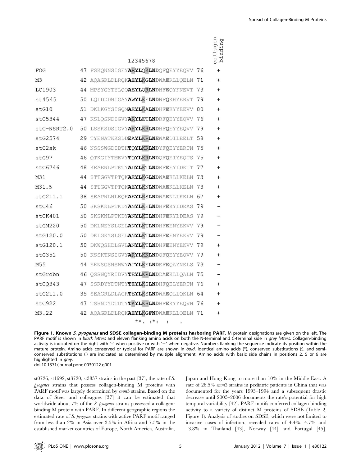$\overline{a}$ 

|               |    | 12345678                                                     |    | collage<br>bindin |
|---------------|----|--------------------------------------------------------------|----|-------------------|
| FOG           | 47 | FSKONNSIGEYARYLOKLNDOFOEYYEOVV 76                            |    | $^{+}$            |
| M3            | 42 | AOAGRLDLROKAEYLKGLNDWAERLLOELN                               | 71 | $^{+}$            |
| LC1903        | 44 | MPSYGYTYLOOAEYLORLNDHFEOYFNEVT                               | 73 | $^{+}$            |
| st4545        | 50 | LOLDDDNIGAYAWYLKELNDNFOKHYERVT 79                            |    | $^{+}$            |
| stG10         | 51 | DKLKGYSIGOMAEYLKALNDHFEKYYEEVV                               | 80 | $^{+}$            |
| stC5344       | 47 | KSLQSNDIGVYARYLETLNDRFQEYYEQVV                               | 76 | $^{+}$            |
| $stC-NSRT2.0$ | 50 | LSSKSDSIGVYARYLKRLNDHFQEYYEQVV 79                            |    | $^{+}$            |
| stG2574       | 29 | TYENATKKSDD <b>EAYLKRLNE</b> WAEDILEELT                      | 58 | $^{+}$            |
| stC2sk        | 46 | NSSSWGDIDTHTOYLKRLNDYFOEYYERTN                               | 75 | $^{+}$            |
| stG97         | 46 | QTKGIYTMEVYTQYLKRLNDQFQEIYEQTS                               | 75 | $^{+}$            |
| stC6746       | 48 | KEAENLPTKTYADYLKTLNDRFEEYLDKIT                               | 77 | $^{+}$            |
| M31           | 44 | STTGGVTPTOKAEYLKGLNDWAEKLLKELN                               | 73 | $^{+}$            |
| M31.5         | 44 | STTGGVTPTOKAEYLKNLNDWAEKLLKELN                               | 73 | $^{+}$            |
| stG211.1      | 38 | SEAPNLNLEOKAEYLRSLNDWAENLLKELN                               | 67 | $^{+}$            |
| stC46         | 50 | SKSKKLPTKDYANYLKELNDHFEKYLDEAS                               | 79 |                   |
| stCK401       | 50 | SKSKNLPTKDYANYLKELNDHFEKYLDEAS                               | 79 |                   |
| stGM220       | 50 | DKLNEYSLGELANYLKTLNDHFEENYEKVV                               | 79 |                   |
| stG120.0      | 50 | DKLGKYSLGELANYLKTLNDHFEENYEKVV 79                            |    |                   |
| stG120.1      | 50 | DKWOSHDLGVLANYLKTLNDHFEENYEKVV 79                            |    | $^{+}$            |
| stG351        | 50 | KSSKTNSIGVYARYLKKLNDOFOEYYEOVV                               | 79 | $^{+}$            |
| M55           | 44 | EKNSGSNSNWYATYLKELNDEFEQAYNELS 73                            |    |                   |
| stGrobn       | 46 | OSSNOYRIDVYTEYLKRLNDDAEKLLOALN                               | 75 |                   |
| stCO343       | 47 | SSRDYYDTNTYTEYLKSLNDHFOELYERTN                               | 76 | $^{+}$            |
| stG211.0      | 35 | SEAGRLDLAGRTEYLKSLNDWAEQLLQKLN                               | 64 | $^{+}$            |
| stC922        | 47 | TSRNDYDTDTYTKYLKRLNDHFEKYYEQVN                               | 76 | $^{+}$            |
| M3.22         | 42 | AOAGRLDLROKAEYLKGFNDWAEKLLOELN                               | 71 | $^+$              |
|               |    | $\star\star$ $\star$ $\star$ $\cdot$ $\cdot$ $\cdot$ $\cdot$ |    |                   |

Figure 1. Known S. pyogenes and SDSE collagen-binding M proteins harboring PARF. M protein designations are given on the left. The PARF motif is shown in black letters and eleven flanking amino acids on both the N-terminal and C-terminal side in grey letters. Collagen-binding activity is indicated on the right with '+' when positive or with '-' when negative. Numbers flanking the sequence indicate its position within the mature protein. Amino acids conserved or typical for PARF are shown in bold. Identical amino acids (\*), conserved substitutions (:), and semiconserved substitutions (.) are indicated as determined by multiple alignment. Amino acids with basic side chains in positions 2, 5 or 6 are highlighted in grey.

doi:10.1371/journal.pone.0030122.g001

st0726, st1692, st3720, st3857 strains in the past [37], the rate of S. pyogenes strains that possess collagen-binding M proteins with PARF motif was largely determined by  $emm3$  strains. Based on the data of Steer and colleagues [37] it can be estimated that worldwide about 7% of the S. pyogenes strains possessed a collagenbinding M protein with PARF. In different geographic regions the estimated rate of S. pyogenes strains with active PARF motif ranged from less than 2% in Asia over 3.5% in Africa and 7.5% in the established market countries of Europe, North America, Australia,

Japan and Hong Kong to more than 10% in the Middle East. A rate of 26.5% emm3 strains in pediatric patients in China that was documented for the years 1993–1994 and a subsequent drastic decrease until 2005–2006 documents the rate's potential for high temporal variability [42]. PARF motifs conferred collagen binding activity to a variety of distinct M proteins of SDSE (Table 2, Figure 1). Analysis of studies on SDSE, which were not limited to invasive cases of infection, revealed rates of 4.4%, 4.7% and 13.8% in Thailand [43], Norway [44] and Portugal [45],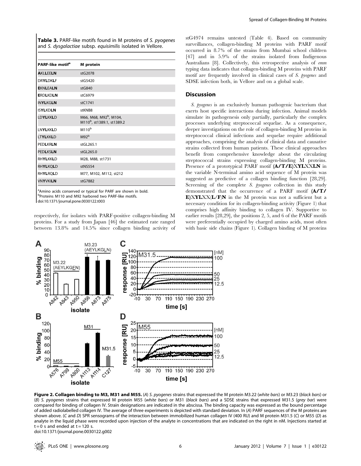Table 3. PARF-like motifs found in M proteins of S. pyogenes and S. dysgalactiae subsp. equisimilis isolated in Vellore.

| PARF-like motif <sup>a</sup> | M protein                                                                    |
|------------------------------|------------------------------------------------------------------------------|
| <b>AKLLEELN</b>              | stG2078                                                                      |
| <b>DRYLDKLF</b>              | stG5420                                                                      |
| <b>EKNLEALN</b>              | stG840                                                                       |
| <b>ERDLKDLN</b>              | stC6979                                                                      |
| <b>INYLKGLN</b>              | stC1741                                                                      |
| <b>ISYLKDLN</b>              | stKNB8                                                                       |
| <b>LDYLKKLD</b>              | M66, M68, M92 <sup>b</sup> , M104,<br>M110 <sup>b</sup> , st1389.1, st1389.2 |
| LNYLKKLD                     | M110 <sup>b</sup>                                                            |
| <b>LTYLKKLD</b>              | M92 <sup>b</sup>                                                             |
| <b>PEDLKRLN</b>              | stGL265.1                                                                    |
| <b>PEDLKSLN</b>              | stGL265.0                                                                    |
| <b>RHYLKKLD</b>              | M28, M88, st1731                                                             |
| <b>RHYLKQLD</b>              | stNS554                                                                      |
| RHYLRQLD                     | M77, M102, M112, st212                                                       |
| <b>VNYVKILN</b>              | stG7882                                                                      |

<sup>a</sup> Amino acids conserved or typical for PARF are shown in bold. <sup>b</sup>Proteins M110 and M92 harbored two PARF-like motifs.

doi:10.1371/journal.pone.0030122.t003

respectively, for isolates with PARF-positive collagen-binding M proteins. For a study from Japan [46] the estimated rate ranged between 13.8% and 14.5% since collagen binding activity of stG4974 remains untested (Table 4). Based on community surveillances, collagen-binding M proteins with PARF motif occurred in 8.7% of the strains from Mumbai school children [47] and in 5.9% of the strains isolated from Indigenous Australians [8]. Collectively, this retrospective analysis of emm typing data indicates that collagen-binding M proteins with PARF motif are frequently involved in clinical cases of S. pyogenes and SDSE infection both, in Vellore and on a global scale.

#### **Discussion**

S. pyogenes is an exclusively human pathogenic bacterium that exerts host specific interactions during infection. Animal models simulate its pathogenesis only partially, particularly the complex processes underlying streptococcal sequelae. As a consequence, deeper investigations on the role of collagen-binding M proteins in streptococcal clinical infections and sequelae require additional approaches, comprising the analysis of clinical data and causative strains collected from human patients. These clinical approaches benefit from comprehensive knowledge about the circulating streptococcal strains expressing collagen-binding M proteins. Presence of a prototypical PARF motif (A/T/E)XYLXXLN in the variable N-terminal amino acid sequence of M protein was suggested as predictive of a collagen binding function [28,29]. Screening of the complete S. pyogenes collection in this study demonstrated that the occurrence of a PARF motif (A/T/ E)XYLXX(L/F)N in the M protein was not a sufficient but a necessary condition for its collagen-binding activity (Figure 1) that comprises high affinity binding to collagen IV. Supportive to earlier results [28,29], the positions 2, 5, and 6 of the PARF motifs were preferentially occupied by charged amino acids, most often with basic side chains (Figure 1). Collagen binding of M proteins



Figure 2. Collagen binding to M3, M31 and M55. (A) S. pyogenes strains that expressed the M protein M3.22 (white bars) or M3.23 (black bars) or (B) S. pyogenes strains that expressed M protein M55 (white bars) or M31 (black bars) and a SDSE strains that expressed M31.5 (grey bar) were compared for binding of collagen IV. Strain designations are indicated in the abscissa. The binding capacity was expressed as the bound percentage of added radiolabelled collagen IV. The average of three experiments is depicted with standard deviation. In (A) PARF sequences of the M proteins are shown above. (C and D) SPR sensograms of the interaction between immobilized human collagen IV (400 RU) and M protein M31.5 (C) or M55 (D) as analyte in the liquid phase were recorded upon injection of the analyte in concentrations that are indicated on the right in nM. Injections started at  $t = 0$  s and ended at  $t = 120$  s. doi:10.1371/journal.pone.0030122.g002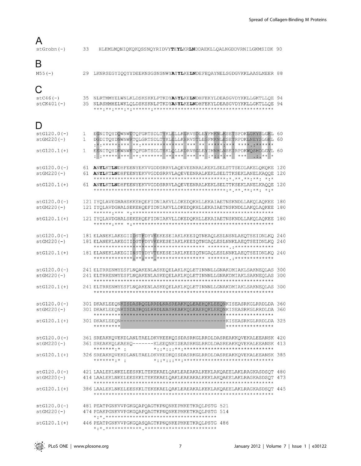## $\overline{\mathsf{A}}$

| $stGrobn(-)$ | HLEMLMQNIQKQKQSSNQYRIDVY <b>TEYL</b> KR <b>LN</b> DDAEKLLQALNGDDVRNILGKMSIDK 90 |  |
|--------------|---------------------------------------------------------------------------------|--|
|              |                                                                                 |  |

## B

 $M55(-)$ 

## $\mathsf{C}$

| $stC46(-)$   |  |
|--------------|--|
| $stCK401(-)$ |  |

| I |  |
|---|--|
|   |  |
|   |  |
| ł |  |
|   |  |

| $stG120.0(-)$<br>$stGM220(-)$ | 1<br>$\mathbf{1}$ | EGNITOYDOWNWDTOFGRTSDLTYKLELLKGRVSDLEYFMKNLKSETSPDKLGKYSLGEL 60<br>DGDITOYDNWNWRTOLGRTSDLTYKLELLKHRVSTLEGFMKNLESETRPDKLNEYSLGEL 60                       |            |
|-------------------------------|-------------------|----------------------------------------------------------------------------------------------------------------------------------------------------------|------------|
| $stG120.1(+)$                 | $\mathbf{1}$      | EENITOYDKWNWETOFGRTSDLTSKLOLLKDRVSGLEYIMNHLNSEIRPDKWOSHDLGVL                                                                                             | 60         |
| $stG120.0(-)$<br>$stGM220(-)$ |                   | 61 ANYLKTLNDHFEENYEKVVGDDSRRVLAOEVEENRALKEKLSELSTTSEDLAKELOKOKE 120<br>61 ANYLKTLNDHFEENYEKVVGDDSRRVLAOEVEENRALKEKLSELTTKSEKLANELKAOOE                   | 120        |
| $stG120.1(+)$                 |                   | 61 ANYLKTLNDHFEENYEKVVGDDSRRVLAQEVEENRALKEKLSELTTKSEKLANELKAQQE 120                                                                                      |            |
| $stG120.0(-)$<br>$stGM220(-)$ |                   | 121 IYQLAVEGHAHSKKEHQEFIDNIAKVLLDKEDQKHLLEKAIAETNSKNDLLAKQLAQKEE<br>121 IYQLAVDGHALSEKEHQEFIDNIAKVLLDKEDQKHLLEKAIAETNSKNDLLAKQLAQKEE                     | 180<br>180 |
| $stG120.1(+)$                 |                   | 121 IYOLAVDGHALSEKEHOEFIDNIAKVLLDKEDOKHLLEKAIAETNSKNDLLAKOLAOKEE                                                                                         | 180        |
| $stG120.0(-)$<br>$stGM220(-)$ |                   | 181 ELANEKLAKEGIIDSTFDYVKEKESEIAKLKEEIQTNEAQLESLNSNLAEQTSEIDNLKQ 240<br>181 ELANEKLAKEGIIDSTFDYVKEKESEIAKLKEEIOTNGAOLESLNNKLAEOTSEIDNLKO                 | 240        |
| $stG120.1(+)$                 |                   | 181 ELANEKLAKEGIINSTYDYVTEKESEIAKLKEEIOTNGAOLESLNNKLAEOTSEIDNLKO                                                                                         | 240        |
| $stG120.0(-)$<br>$stGM220(-)$ |                   | 241 ELTRRENMYESFLNQAKENLASKEQELAKLKQLETINNNLLGNAKDMIAKLSAKNEQLAS<br>241 ELTRRENMYESFLNQAKENLASKEQELAKLKQLETINNNLLGNAKDMIAKLSAKNEQLAS                     | 300<br>300 |
| $stG120.1(+)$                 |                   | 241 ELTRRENMYESFLNOAKENLASKEOELAKLKOLETINNNLLGNAKDMIAKLSAKNEOLAS                                                                                         | 300        |
| $stG120.0(-)$<br>$stGM220(-)$ |                   | 301 DKAKLEEONKISDASROGLRRDLNASREAKKOLEAEHOKLEEONKISEASRKGLRRDLDA 360<br>301 DKAKLEEONKISDASROGLRRDLNASREAKKOLEAEHOKLEEONKISEASRKGLRRDLDA                 | 360        |
| $stG120.1(+)$                 |                   | *********<br>****************                                                                                                                            | 325        |
| $stG120.0(-)$<br>$stGM220(-)$ |                   | 361 SREAKKOVEKDLANLTAELDKVKEEKOISDASRKGLRRDLDASREAKKOVEKALEEANSK 420<br>361 SREAKKOLEAEHO-------KLEEONKISEASRKGLRRDLDASREAKKOVEKALEEANSK<br>******* :* : | 413        |
| $stG120.1(+)$                 |                   | 326 SREAKKOVEKDLANLTAELDKVKEDKOISDASRKGLRRDLDASREAKKOVEKALEEANSK 385<br>******** * *                                                                     |            |
| $stG120.0(-)$<br>$stGM220(-)$ |                   | 421 LAALEKLNKELEESKKLTEKEKAELQAKLEAEAKALKEKLAKQAEELAKLRAGKASDSQT<br>414 LAALEKLNKELEESKKLTEKEKAELOAKLEAEAKALKEKLAKOAEELAKLRAGKASDSOT                     | 480<br>473 |
| $stG120.1(+)$                 |                   | 386 LAALEKLNKELEESKKLTEKEKAELOAKLEAEAKALKEKLAKOAEELAKLRAGKASDSOT                                                                                         | 445        |
| $stG120.0(-)$<br>$stGM220(-)$ |                   | 481 PEATPGNKVVPGKGQAPQAGTKPNQNKEPMKETKRQLPSTG 521<br>474 PDAKPGNKVVPGKGQAPQAGTKPNQNKEPMKETKRQLPSTG 514                                                   |            |

29 LKNRSEGYIQQYYDEEKNSGSNSNWYATYLKELNDEFEQAYNELSGDGVKKLAASLMEER 88

35 NLRTMMYELWNLKLDSKSKKLPTKDYANYLKELNDHFEKYLDEASGVDYKKLLGKTLLOE 94 35 NLRSMMHELWKLQLDSKSKNLPTKDYANYLKELNDHFEKYLDEASGVDYKKLLGKTLLQE 94 

 $stG120.1$   $(+)$ 446 PEATPGNKVVPGKGQASQAGTKPNQNKEPMKETKRQLPSTG 486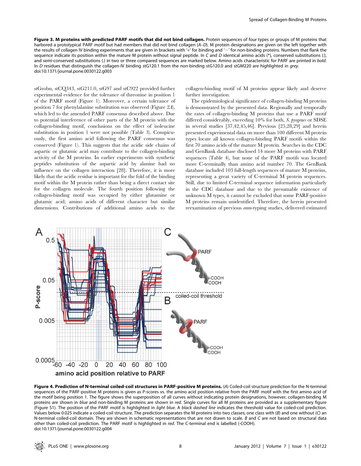Figure 3. M proteins with predicted PARF motifs that did not bind collagen. Protein sequences of four types or groups of M proteins that harbored a prototypical PARF motif but had members that did not bind collagen (A–D). M protein designations are given on the left together with the results of collagen IV binding experiments that are given in brackets with '+' for binding and '2' for non-binding proteins. Numbers that flank the sequence indicate its position within the mature M protein without signal peptide. In C and D identical amino acids  $(*)$ , conserved substitutions  $(.)$ and semi-conserved substitutions (.) in two or three compared sequences are marked below. Amino acids characteristic for PARF are printed in bold. In D residues that distinguish the collagen-IV binding stG120.1 from the non-binding stG120.0 and stGM220 are highlighted in grey. doi:10.1371/journal.pone.0030122.g003

stGrobn, stCQ343, stG211.0, stG97 and stC922 provided further experimental evidence for the tolerance of threonine in position 1 of the PARF motif (Figure 1). Moreover, a certain tolerance of position 7 for phenylalanine substitution was observed (Figure 2A), which led to the amended PARF consensus described above. Due to potential interference of other parts of the M protein with the collagen-binding motif, conclusions on the effect of isoleucine substitution in position 1 were not possible (Table 3). Conspicuously, the first amino acid following the PARF consensus was conserved (Figure 1). This suggests that the acidic side chains of aspartic or glutamic acid may contribute to the collagen-binding activity of the M proteins. In earlier experiments with synthetic peptides substitution of the aspartic acid by alanine had no influence on the collagen interaction [28]. Therefore, it is more likely that the acidic residue is important for the fold of the binding motif within the M protein rather than being a direct contact site for the collagen molecule. The fourth position following the collagen-binding motif was occupied by either glutamine or glutamic acid; amino acids of different character but similar dimensions. Contributions of additional amino acids to the collagen-binding motif of M proteins appear likely and deserve further investigation.

The epidemiological significance of collagen-binding M proteins is demonstrated by the presented data. Regionally and temporally the rates of collagen-binding M proteins that use a PARF motif differed considerably, exceeding 10% for both, S. pyogenes or SDSE in several studies [37,42,45,46]. Previous [25,28,29] and herein presented experimental data on more than 100 different M protein types locate all known collagen-binding PARF motifs within the first 70 amino acids of the mature M protein. Searches in the CDC and GenBank database disclosed 14 more M proteins with PARF sequences (Table 4), but none of the PARF motifs was located more C-terminally than amino acid number 70. The GenBank database included 103 full-length sequences of mature M proteins, representing a great variety of C-terminal M protein sequences. Still, due to limited C-terminal sequence information particularly in the CDC database and due to the presumable existence of unknown M types, it cannot be excluded that some PARF-positive M proteins remain unidentified. Therefore, the herein presented reexamination of previous emm-typing studies, delivered estimated



Figure 4. Prediction of N-terminal coiled-coil structures in PARF-positive M proteins. (A) Coiled-coil structure prediction for the N-terminal sequences of the PARF-positive M proteins is given as P-scores vs. the amino acid position relative from the PARF motif with the first amino acid of the motif being position 1. The figure shows the superposition of all curves without indicating protein designations, however, collagen-binding M proteins are shown in blue and non-binding M proteins are shown in red. Single curves for all M proteins are provided as a supplementary figure (Figure S1). The position of the PARF motif is highlighted in light blue. A black dashed line indicates the threshold value for coiled-coil prediction. Values below 0.025 indicate a coiled-coil structure. The prediction separates the M proteins into two classes; one class with (B) and one without (C) an N-terminal coiled-coil domain. They are shown in schematic representations that are not drawn to scale. B and C are not based on structural data other than coiled-coil prediction. The PARF motif is highlighted in red. The C-terminal end is labelled (-COOH). doi:10.1371/journal.pone.0030122.g004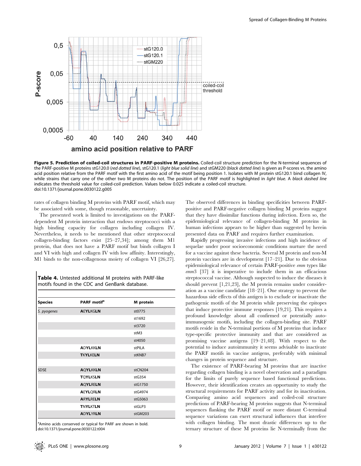

Figure 5. Prediction of coiled-coil structures in PARF-positive M proteins. Coiled-coil structure prediction for the N-terminal sequences of the PARF-positive M proteins stG120.0 (red dotted line), stG120.1 (light blue solid line) and stGM220 (black dotted line) is given as P-scores vs. the amino acid position relative from the PARF motif with the first amino acid of the motif being position 1. Isolates with M protein stG120.1 bind collagen IV, while strains that carry one of the other two M proteins do not. The position of the PARF motif is highlighted in light blue. A black dashed line indicates the threshold value for coiled-coil prediction. Values below 0.025 indicate a coiled-coil structure. doi:10.1371/journal.pone.0030122.g005

rates of collagen binding M proteins with PARF motif, which may be associated with some, though reasonable, uncertainty.

The presented work is limited to investigations on the PARFdependent M protein interaction that endows streptococci with a high binding capacity for collagen including collagen IV. Nevertheless, it needs to be mentioned that other streptococcal collagen-binding factors exist [25–27,34]; among them M1 protein, that does not have a PARF motif but binds collagen I and VI with high and collagen IV with low affinity. Interestingly, M1 binds to the non-collagenous moiety of collagen VI [26,27].

Table 4. Untested additional M proteins with PARF-like motifs found in the CDC and GenBank database.

| <b>Species</b> | <b>PARF</b> motif <sup>a</sup> | M protein |
|----------------|--------------------------------|-----------|
| S. pyogenes    | <b>AEYLKGLN</b>                | st0775    |
|                |                                | st1692    |
|                |                                | st3720    |
|                |                                | stM3      |
|                |                                | st4050    |
|                | <b>ADYLKKLN</b>                | stPILA    |
|                | <b>TKYLKELN</b>                | stKNB7    |
|                |                                |           |
| <b>SDSE</b>    | <b>AQYLKKLN</b>                | stCN204   |
|                | <b>TQYLKSLN</b>                | stG354    |
|                | <b>AQYLRELN</b>                | stG1750   |
|                | <b>AEYLQRLN</b>                | stG4974   |
|                | <b>ARYLRELN</b>                | stG5063   |
|                | <b>TNYLKTLN</b>                | stGLP3    |
|                | <b>ADYLYRLN</b>                | stGM203   |

<sup>a</sup> Amino acids conserved or typical for PARF are shown in bold. doi:10.1371/journal.pone.0030122.t004

The observed differences in binding specificities between PARFpositive and PARF-negative collagen binding M proteins suggest that they have dissimilar functions during infection. Even so, the epidemiological relevance of collagen-binding M proteins in human infections appears to be higher than suggested by herein presented data on PARF and requires further examination.

Rapidly progressing invasive infections and high incidence of sequelae under poor socioeconomic conditions nurture the need for a vaccine against these bacteria. Several M protein and non-M protein vaccines are in development [17–21]. Due to the obvious epidemiological relevance of certain PARF-positive emm types like emm3 [37] it is imperative to include them in an efficacious streptococcal vaccine. Although suspected to induce the diseases it should prevent [1,21,23], the M protein remains under consideration as a vaccine candidate [18–21]. One strategy to prevent the hazardous side effects of this antigen is to exclude or inactivate the pathogenic motifs of the M protein while preserving the epitopes that induce protective immune responses [19,21]. This requires a profound knowledge about all confirmed or potentially autoimmunogenic motifs, including the collagen-binding site. PARF motifs reside in the N-terminal portions of M proteins that induce type-specific protective immunity and that are considered as promising vaccine antigens [19–21,48]. With respect to the potential to induce autoimmunity it seems advisable to inactivate the PARF motifs in vaccine antigens, preferably with minimal changes in protein sequence and structure.

The existence of PARF-bearing M proteins that are inactive regarding collagen binding is a novel observation and a paradigm for the limits of purely sequence based functional predictions. However, their identification creates an opportunity to study the structural requirements for PARF activity and for its inactivation. Comparing amino acid sequences and coiled-coil structure predictions of PARF-bearing M proteins suggests that N-terminal sequences flanking the PARF motif or more distant C-terminal sequence variations can exert structural influences that interfere with collagen binding. The most drastic differences up to the ternary structure of these M proteins lie N-terminally from the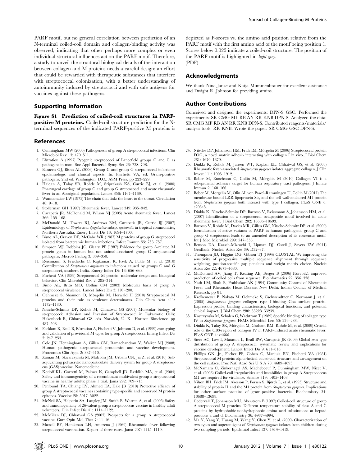PARF motif, but no general correlation between prediction of an N-terminal coiled-coil domain and collagen-binding activity was observed, indicating that other perhaps more complex or even individual structural influences act on the PARF motif. Therefore, a study to unveil the structural biological details of the interaction between collagen and M proteins needs a careful design; an effort that could be rewarded with therapeutic substances that interfere with streptococcal colonization, with a better understanding of autoimmunity induced by streptococci and with safe antigens for vaccines against these pathogens.

### Supporting Information

Figure S1 Prediction of coiled-coil structures in PARFpositive M proteins. Coiled-coil structure prediction for the Nterminal sequences of the indicated PARF-positive M proteins is

### References

- 1. Cunningham MW (2000) Pathogenesis of group A streptococcal infections. Clin Microbiol Rev 13: 470–511.
- 2. Efstratiou A (1997) Pyogenic streptococci of Lancefield groups C and G as pathogens in man. Soc Appl Bacteriol Symp Ser 26: 72S–79S.
- 3. Baracco GJ, Bisno AL (2006) Group C and group G streptococcal infections: epidemiologic and clinical aspects. In: Fischetti VA, ed. Gram-positive pathogens. 2nd ed. Washington, D.C.: ASM Press. pp 223–229.
- 4. Haidan A, Talay SR, Rohde M, Sriprakash KS, Currie BJ, et al. (2000) Pharyngeal carriage of group C and group G streptococci and acute rheumatic fever in an Aboriginal population. Lancet 356: 1167–1169.
- 5. Wannamaker LW (1973) The chain that links the heart to the throat. Circulation 48: 9–18.
- 6. Stollerman GH (1997) Rheumatic fever. Lancet 349: 935–942.
- 7. Carapetis JR, McDonald M, Wilson NJ (2005) Acute rheumatic fever. Lancet 366: 155–168.
- 8. McDonald M, Towers RJ, Andrews RM, Carapetis JR, Currie BJ (2007) Epidemiology of Streptococcus dysgalactiae subsp. equisimilis in tropical communities, Northern Australia. Emerg Infect Dis 13: 1694–1700.
- 9. Bisno AL, Craven DE, McCabe WR (1987) M proteins of group G streptococci isolated from bacteremic human infections. Infect Immun 55: 753–757.
- 10. Simpson WJ, Robbins JC, Cleary PP (1987) Evidence for group A-related M protein genes in human but not animal-associated group G streptococcal pathogens. Microb Pathog 3: 339–350.
- 11. Reissmann S, Friedrichs C, Rajkumari R, Itzek A, Fulde M, et al. (2010) Contribution of Streptococcus anginosus to infections caused by groups C and G streptococci, southern India. Emerg Infect Dis 16: 656–663.
- 12. Fischetti VA (1989) Streptococcal M protein: molecular design and biological behavior. Clin Microbiol Rev 2: 285–314.
- 13. Bisno AL, Brito MO, Collins CM (2003) Molecular basis of group A streptococcal virulence. Lancet Infect Dis 3: 191–200.
- 14. Oehmcke S, Shannon O, Mörgelin M, Herwald H (2010) Streptococcal M proteins and their role as virulence determinants. Clin Chim Acta 411: 1172–1180.
- 15. Nitsche-Schmitz DP, Rohde M, Chhatwal GS (2007) Molecular biology of streptococci: Adhesion and Invasion of Streptococci in Eukaryotic Cells; Hakenbeck R, Chhatwal GS, eds. Norwich, U. K.: Horizon Bioscience. pp 487–508.
- 16. Facklam R, Beall B, Efstratiou A, Fischetti V, Johnson D, et al. (1999) emm typing and validation of provisional M types for group A streptococci. Emerg Infect Dis 5: 247–253.
- 17. Cole JN, Henningham A, Gillen CM, Ramachandran V, Walker MJ (2008) Human pathogenic streptococcal proteomics and vaccine development. Proteomics Clin Appl 2: 387–410.
- 18. Zaman M, Skwarczynski M, Malcolm JM, Urbani CN, Jia Z, et al. (2010) Selfadjuvanting polyacrylic nanoparticulate delivery system for group A streptococcus (GAS) vaccine. Nanomedicine.
- 19. Kotloff KL, Corretti M, Palmer K, Campbell JD, Reddish MA, et al. (2004) Safety and immunogenicity of a recombinant multivalent group a streptococcal vaccine in healthy adults: phase 1 trial. Jama 292: 709–715.
- 20. Penfound TA, Chiang EY, Ahmed EA, Dale JB (2010) Protective efficacy of group A streptococcal vaccines containing type-specific and conserved M protein epitopes. Vaccine 28: 5017–5022.
- 21. McNeil SA, Halperin SA, Langley JM, Smith B, Warren A, et al. (2005) Safety and immunogenicity of 26-valent group a streptococcus vaccine in healthy adult volunteers. Clin Infect Dis 41: 1114–1122.
- 22. McMillan DJ, Chhatwal GS (2005) Prospects for a group A streptococcal vaccine. Curr Opin Mol Ther 7: 11–16.
- 23. Massell BF, Honikman LH, Amezcua J (1969) Rheumatic fever following streptococcal vaccination. Report of three cases. Jama 207: 1115–1119.

depicted as P-scores vs. the amino acid position relative from the PARF motif with the first amino acid of the motif being position 1. Scores below 0.025 indicate a coiled-coil structure. The position of the PARF motif is highlighted in light grey. (PDF)

#### Acknowledgments

We thank Nina Janze and Katja Mummenbrauer for excellent assistance and Dwight R. Johnson for providing strains.

### Author Contributions

Conceived and designed the experiments: DPN-S GSC. Performed the experiments: SR CMG MF RB AN RR KNB DPN-S. Analyzed the data: SR CMG MF RB AN RR KNB DPN-S. Contributed reagents/materials/ analysis tools: RR KNB. Wrote the paper: SR CMG GSC DPN-S.

- 24. Nitsche DP, Johansson HM, Frick IM, Mörgelin M (2006) Streptococcal protein FOG, a novel matrix adhesin interacting with collagen I in vivo. J Biol Chem 281: 1670–1679.
- 25. Dinkla K, Rohde M, Jansen WT, Kaplan EL, Chhatwal GS, et al. (2003) Rheumatic fever-associated Streptococcus pyogenes isolates aggregate collagen. J Clin Invest 111: 1905–1912.
- 26. Bober M, Enochsson C, Collin M, Mörgelin M (2010) Collagen VI is a subepithelial adhesive target for human respiratory tract pathogens. J Innate Immun 2: 160–166.
- 27. Bober M, Mörgelin M, Olin AI, von Pawel-Rammingen U, Collin M (2011) The membrane bound LRR lipoprotein Slr, and the cell wall-anchored M1 protein from Streptococcus pyogenes both interact with type I collagen. PLoS ONE 6: e20345.
- 28. Dinkla K, Nitsche-Schmitz DP, Barroso V, Reissmann S, Johansson HM, et al. (2007) Identification of a streptococcal octapeptide motif involved in acute rheumatic fever. J Biol Chem 282: 18686–18693.
- 29. Barroso V, Rohde M, Davies MR, Gillen CM, Nitsche-Schmitz DP, et al. (2009) Identification of active variants of PARF in human pathogenic group C and group G streptococci leads to an amended description of its consensus motif. Int J Med Microbiol 299: 547–553.
- 30. Benson DA, Karsch-Mizrachi I, Lipman DJ, Ostell J, Sayers EW (2011) GenBank. Nucleic Acids Res 39: D32–37.
- 31. Thompson JD, Higgins DG, Gibson TJ (1994) CLUSTAL W: improving the sensitivity of progressive multiple sequence alignment through sequence weighting, position-specific gap penalties and weight matrix choice. Nucleic Acids Res 22: 4673–4680.
- 32. McDonnell AV, Jiang T, Keating AE, Berger B (2006) Paircoil2: improved prediction of coiled coils from sequence. Bioinformatics 22: 356–358.
- 33. Nath LM, Shah B, Prabhakar AK (1994) Community Control of Rheumatic Fever and Rheumatic Heart Disease. New Delhi: Indian Council of Medical Research. pp 81.
- 34. Kreikemeyer B, Nakata M, Oehmcke S, Gschwendtner C, Normann J, et al. (2005) Streptococcus pyogenes collagen type I-binding Cpa surface protein.<br>Expression profile, binding characteristics, biological functions, and potential clinical impact. J Biol Chem 280: 33228–33239.
- 35. Kostrzynska M, Schalen C, Wadström T (1989) Specific binding of collagen type IV to Streptococcus pyogenes. FEMS Microbiol Lett 50: 229–233.
- 36. Dinkla K, Talay SR, Mörgelin M, Graham RM, Rohde M, et al. (2009) Crucial role of the CB3-region of collagen IV in PARF-induced acute rheumatic fever. PLoS ONE 4: e4666.
- 37. Steer AC, Law I, Matatolu L, Beall BW, Carapetis JR (2009) Global emm type distribution of group A streptococci: systematic review and implications for vaccine development. Lancet Infect Dis 9: 611–616.
- 38. Phillips GN, Jr., Flicker PF, Cohen C, Manjula BN, Fischetti VA (1981) Streptococcal M protein: alpha-helical coiled-coil structure and arrangement on the cell surface. Proc Natl Acad Sci U S A 78: 4689–4693.
- 39. McNamara C, Zinkernagel AS, Macheboeuf P, Cunningham MW, Nizet V, et al. (2008) Coiled-coil irregularities and instabilities in group A Streptococcus M1 are required for virulence. Science 319: 1405–1408.
- 40. Nilson BH, Frick IM, Akesson P, Forsen S, Björck L, et al. (1995) Structure and stability of protein H and the M1 protein from Streptococcus pyogenes. Implications for other surface proteins of gram-positive bacteria. Biochemistry 34: 13688–13698.
- 41. Cedervall T, Johansson MU, Akerström B (1997) Coiled-coil structure of group A streptococcal M proteins. Different temperature stability of class A and C proteins by hydrophobic-nonhydrophobic amino acid substitutions at heptad positions a and d. Biochemistry 36: 4987–4994.
- 42. Ma Y, Yang Y, Huang M, Wang Y, Chen Y, et al. (2009) Characterization of emm types and superantigens of Streptococcus pyogenes isolates from children during two sampling periods. Epidemiol Infect 137: 1414–1419.